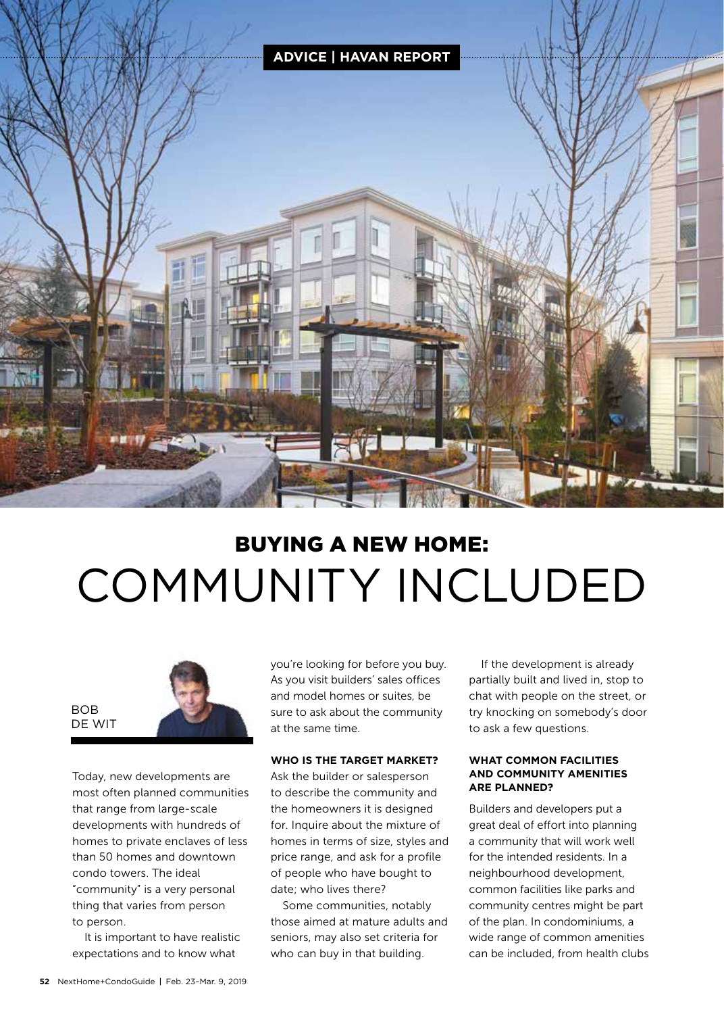

# BUYING A NEW HOME: COMMUNITY INCLUDED



Today, new developments are most often planned communities that range from large-scale developments with hundreds of homes to private enclaves of less than 50 homes and downtown condo towers. The ideal "community" is a very personal thing that varies from person to person.

It is important to have realistic expectations and to know what

you're looking for before you buy. As you visit builders' sales offices and model homes or suites, be sure to ask about the community at the same time.

#### **WHO IS THE TARGET MARKET?**

Ask the builder or salesperson to describe the community and the homeowners it is designed for. Inquire about the mixture of homes in terms of size, styles and price range, and ask for a profile of people who have bought to date; who lives there?

Some communities, notably those aimed at mature adults and seniors, may also set criteria for who can buy in that building.

If the development is already partially built and lived in, stop to chat with people on the street, or try knocking on somebody's door to ask a few questions.

#### **WHAT COMMON FACILITIES AND COMMUNITY AMENITIES ARE PLANNED?**

Builders and developers put a great deal of effort into planning a community that will work well for the intended residents. In a neighbourhood development, common facilities like parks and community centres might be part of the plan. In condominiums, a wide range of common amenities can be included, from health clubs